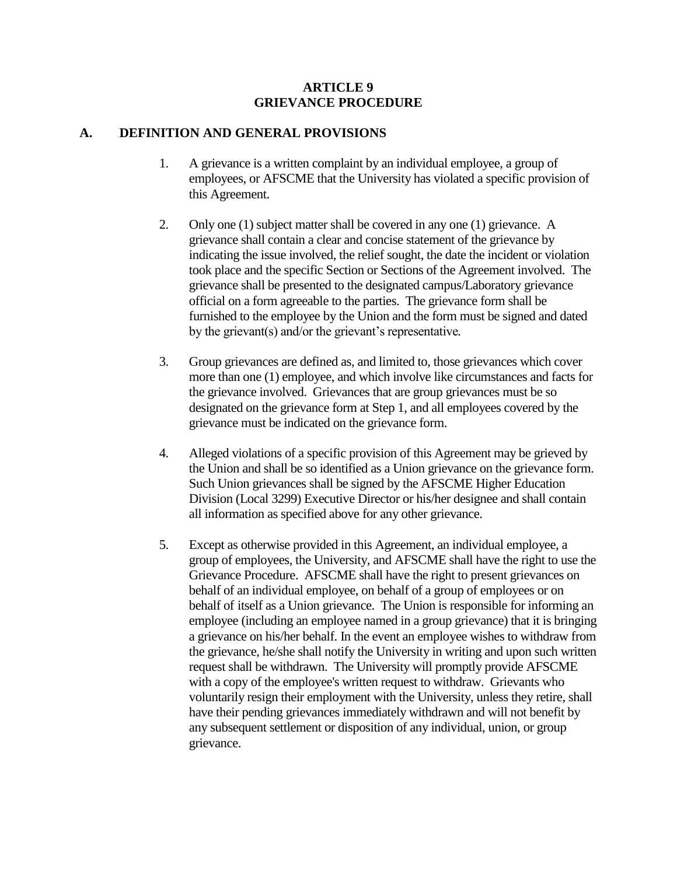#### **ARTICLE 9 GRIEVANCE PROCEDURE**

#### **A. DEFINITION AND GENERAL PROVISIONS**

- 1. A grievance is a written complaint by an individual employee, a group of employees, or AFSCME that the University has violated a specific provision of this Agreement.
- 2. Only one (1) subject matter shall be covered in any one (1) grievance. A grievance shall contain a clear and concise statement of the grievance by indicating the issue involved, the relief sought, the date the incident or violation took place and the specific Section or Sections of the Agreement involved. The grievance shall be presented to the designated campus/Laboratory grievance official on a form agreeable to the parties. The grievance form shall be furnished to the employee by the Union and the form must be signed and dated by the grievant(s) and/or the grievant's representative*.*
- 3. Group grievances are defined as, and limited to, those grievances which cover more than one (1) employee, and which involve like circumstances and facts for the grievance involved. Grievances that are group grievances must be so designated on the grievance form at Step 1, and all employees covered by the grievance must be indicated on the grievance form.
- 4. Alleged violations of a specific provision of this Agreement may be grieved by the Union and shall be so identified as a Union grievance on the grievance form. Such Union grievances shall be signed by the AFSCME Higher Education Division (Local 3299) Executive Director or his/her designee and shall contain all information as specified above for any other grievance.
- 5. Except as otherwise provided in this Agreement, an individual employee, a group of employees, the University, and AFSCME shall have the right to use the Grievance Procedure. AFSCME shall have the right to present grievances on behalf of an individual employee, on behalf of a group of employees or on behalf of itself as a Union grievance. The Union is responsible for informing an employee (including an employee named in a group grievance) that it is bringing a grievance on his/her behalf. In the event an employee wishes to withdraw from the grievance, he/she shall notify the University in writing and upon such written request shall be withdrawn. The University will promptly provide AFSCME with a copy of the employee's written request to withdraw. Grievants who voluntarily resign their employment with the University, unless they retire, shall have their pending grievances immediately withdrawn and will not benefit by any subsequent settlement or disposition of any individual, union, or group grievance.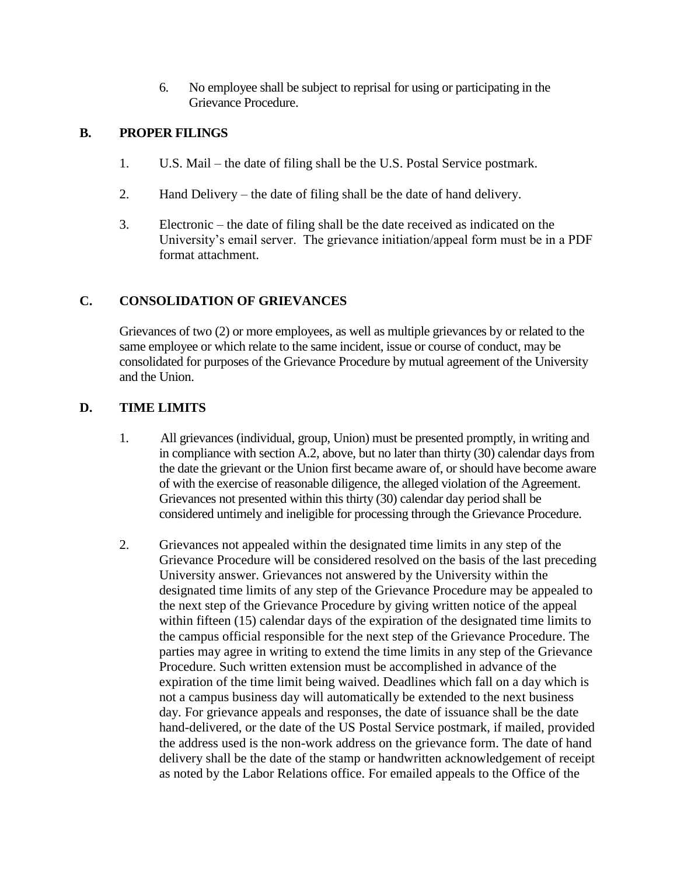6. No employee shall be subject to reprisal for using or participating in the Grievance Procedure.

#### **B. PROPER FILINGS**

- 1. U.S. Mail the date of filing shall be the U.S. Postal Service postmark.
- 2. Hand Delivery the date of filing shall be the date of hand delivery.
- 3. Electronic the date of filing shall be the date received as indicated on the University's email server. The grievance initiation/appeal form must be in a PDF format attachment.

### **C. CONSOLIDATION OF GRIEVANCES**

Grievances of two (2) or more employees, as well as multiple grievances by or related to the same employee or which relate to the same incident, issue or course of conduct, may be consolidated for purposes of the Grievance Procedure by mutual agreement of the University and the Union.

# **D. TIME LIMITS**

- 1. All grievances (individual, group, Union) must be presented promptly, in writing and in compliance with section A.2, above, but no later than thirty (30) calendar days from the date the grievant or the Union first became aware of, or should have become aware of with the exercise of reasonable diligence, the alleged violation of the Agreement. Grievances not presented within this thirty (30) calendar day period shall be considered untimely and ineligible for processing through the Grievance Procedure.
- 2. Grievances not appealed within the designated time limits in any step of the Grievance Procedure will be considered resolved on the basis of the last preceding University answer. Grievances not answered by the University within the designated time limits of any step of the Grievance Procedure may be appealed to the next step of the Grievance Procedure by giving written notice of the appeal within fifteen (15) calendar days of the expiration of the designated time limits to the campus official responsible for the next step of the Grievance Procedure. The parties may agree in writing to extend the time limits in any step of the Grievance Procedure. Such written extension must be accomplished in advance of the expiration of the time limit being waived. Deadlines which fall on a day which is not a campus business day will automatically be extended to the next business day. For grievance appeals and responses, the date of issuance shall be the date hand-delivered, or the date of the US Postal Service postmark, if mailed, provided the address used is the non-work address on the grievance form. The date of hand delivery shall be the date of the stamp or handwritten acknowledgement of receipt as noted by the Labor Relations office. For emailed appeals to the Office of the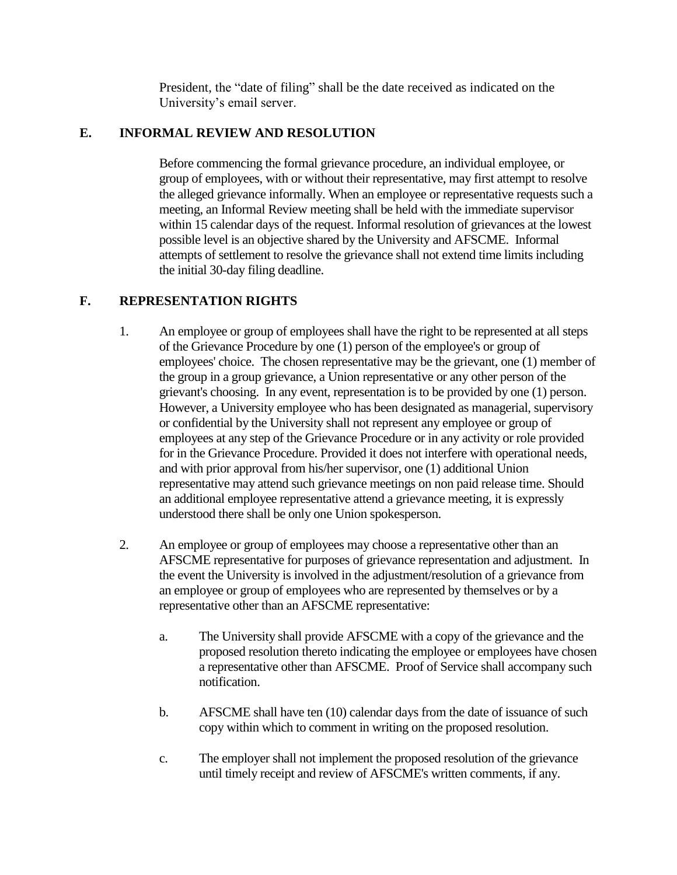President, the "date of filing" shall be the date received as indicated on the University's email server.

### **E. INFORMAL REVIEW AND RESOLUTION**

Before commencing the formal grievance procedure, an individual employee, or group of employees, with or without their representative, may first attempt to resolve the alleged grievance informally. When an employee or representative requests such a meeting, an Informal Review meeting shall be held with the immediate supervisor within 15 calendar days of the request. Informal resolution of grievances at the lowest possible level is an objective shared by the University and AFSCME. Informal attempts of settlement to resolve the grievance shall not extend time limits including the initial 30-day filing deadline.

#### **F. REPRESENTATION RIGHTS**

- 1. An employee or group of employees shall have the right to be represented at all steps of the Grievance Procedure by one (1) person of the employee's or group of employees' choice. The chosen representative may be the grievant, one (1) member of the group in a group grievance, a Union representative or any other person of the grievant's choosing. In any event, representation is to be provided by one (1) person. However, a University employee who has been designated as managerial, supervisory or confidential by the University shall not represent any employee or group of employees at any step of the Grievance Procedure or in any activity or role provided for in the Grievance Procedure. Provided it does not interfere with operational needs, and with prior approval from his/her supervisor, one (1) additional Union representative may attend such grievance meetings on non paid release time. Should an additional employee representative attend a grievance meeting, it is expressly understood there shall be only one Union spokesperson.
- 2. An employee or group of employees may choose a representative other than an AFSCME representative for purposes of grievance representation and adjustment. In the event the University is involved in the adjustment/resolution of a grievance from an employee or group of employees who are represented by themselves or by a representative other than an AFSCME representative:
	- a. The University shall provide AFSCME with a copy of the grievance and the proposed resolution thereto indicating the employee or employees have chosen a representative other than AFSCME. Proof of Service shall accompany such notification.
	- b. AFSCME shall have ten (10) calendar days from the date of issuance of such copy within which to comment in writing on the proposed resolution.
	- c. The employer shall not implement the proposed resolution of the grievance until timely receipt and review of AFSCME's written comments, if any.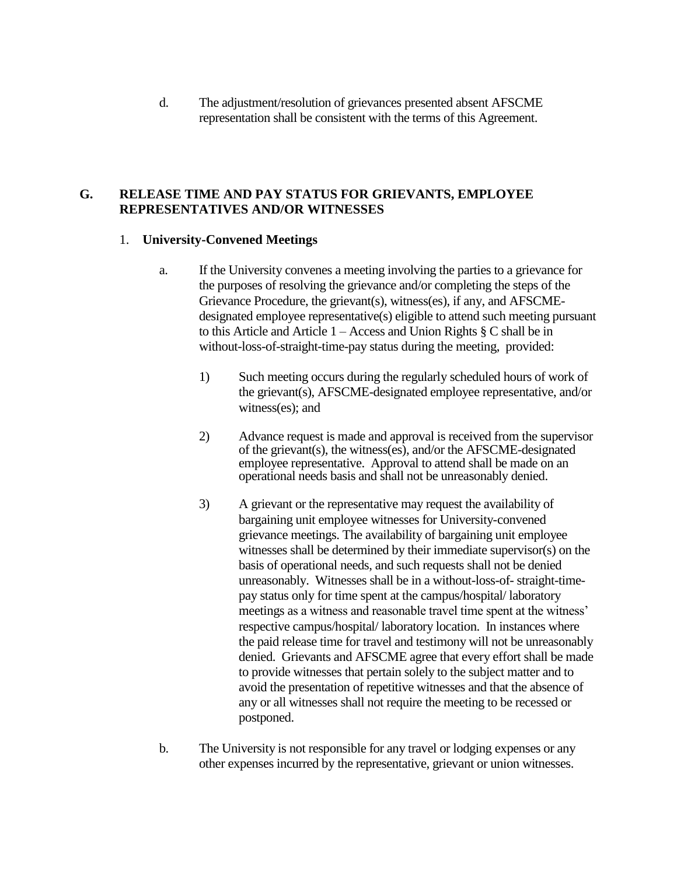d. The adjustment/resolution of grievances presented absent AFSCME representation shall be consistent with the terms of this Agreement.

#### **G. RELEASE TIME AND PAY STATUS FOR GRIEVANTS, EMPLOYEE REPRESENTATIVES AND/OR WITNESSES**

#### 1. **University-Convened Meetings**

- a. If the University convenes a meeting involving the parties to a grievance for the purposes of resolving the grievance and/or completing the steps of the Grievance Procedure, the grievant(s), witness(es), if any, and AFSCMEdesignated employee representative(s) eligible to attend such meeting pursuant to this Article and Article 1 – Access and Union Rights § C shall be in without-loss-of-straight-time-pay status during the meeting, provided:
	- 1) Such meeting occurs during the regularly scheduled hours of work of the grievant(s), AFSCME-designated employee representative, and/or witness(es); and
	- 2) Advance request is made and approval is received from the supervisor of the grievant(s), the witness(es), and/or the AFSCME-designated employee representative. Approval to attend shall be made on an operational needs basis and shall not be unreasonably denied.
	- 3) A grievant or the representative may request the availability of bargaining unit employee witnesses for University-convened grievance meetings. The availability of bargaining unit employee witnesses shall be determined by their immediate supervisor(s) on the basis of operational needs, and such requests shall not be denied unreasonably. Witnesses shall be in a without-loss-of- straight-timepay status only for time spent at the campus/hospital/ laboratory meetings as a witness and reasonable travel time spent at the witness' respective campus/hospital/ laboratory location. In instances where the paid release time for travel and testimony will not be unreasonably denied. Grievants and AFSCME agree that every effort shall be made to provide witnesses that pertain solely to the subject matter and to avoid the presentation of repetitive witnesses and that the absence of any or all witnesses shall not require the meeting to be recessed or postponed.
- b. The University is not responsible for any travel or lodging expenses or any other expenses incurred by the representative, grievant or union witnesses.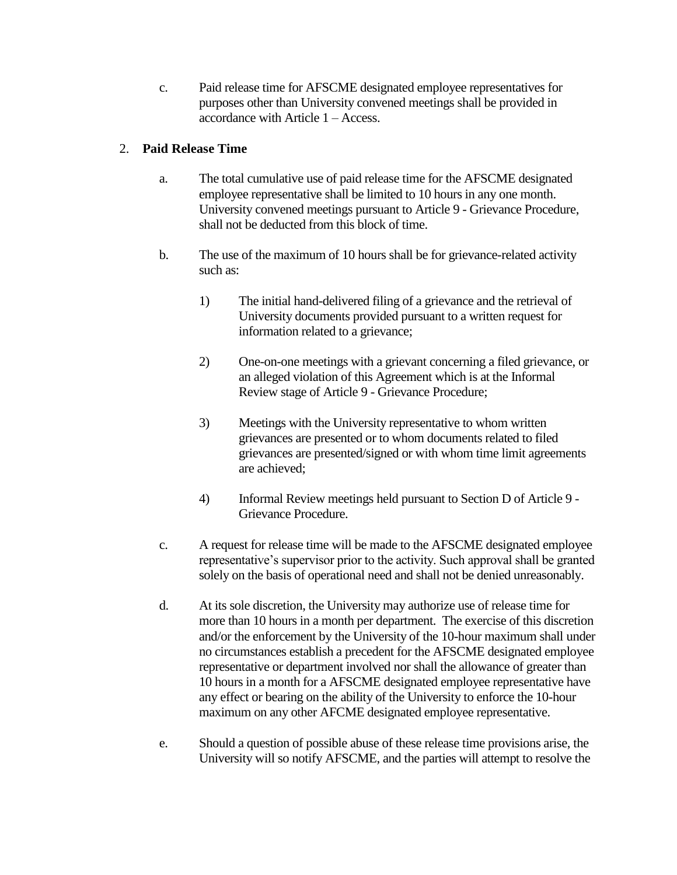c. Paid release time for AFSCME designated employee representatives for purposes other than University convened meetings shall be provided in accordance with Article 1 – Access.

## 2. **Paid Release Time**

- a. The total cumulative use of paid release time for the AFSCME designated employee representative shall be limited to 10 hours in any one month. University convened meetings pursuant to Article 9 - Grievance Procedure, shall not be deducted from this block of time.
- b. The use of the maximum of 10 hours shall be for grievance-related activity such as:
	- 1) The initial hand-delivered filing of a grievance and the retrieval of University documents provided pursuant to a written request for information related to a grievance;
	- 2) One-on-one meetings with a grievant concerning a filed grievance, or an alleged violation of this Agreement which is at the Informal Review stage of Article 9 - Grievance Procedure;
	- 3) Meetings with the University representative to whom written grievances are presented or to whom documents related to filed grievances are presented/signed or with whom time limit agreements are achieved;
	- 4) Informal Review meetings held pursuant to Section D of Article 9 Grievance Procedure.
- c. A request for release time will be made to the AFSCME designated employee representative's supervisor prior to the activity. Such approval shall be granted solely on the basis of operational need and shall not be denied unreasonably.
- d. At its sole discretion, the University may authorize use of release time for more than 10 hours in a month per department. The exercise of this discretion and/or the enforcement by the University of the 10-hour maximum shall under no circumstances establish a precedent for the AFSCME designated employee representative or department involved nor shall the allowance of greater than 10 hours in a month for a AFSCME designated employee representative have any effect or bearing on the ability of the University to enforce the 10-hour maximum on any other AFCME designated employee representative.
- e. Should a question of possible abuse of these release time provisions arise, the University will so notify AFSCME, and the parties will attempt to resolve the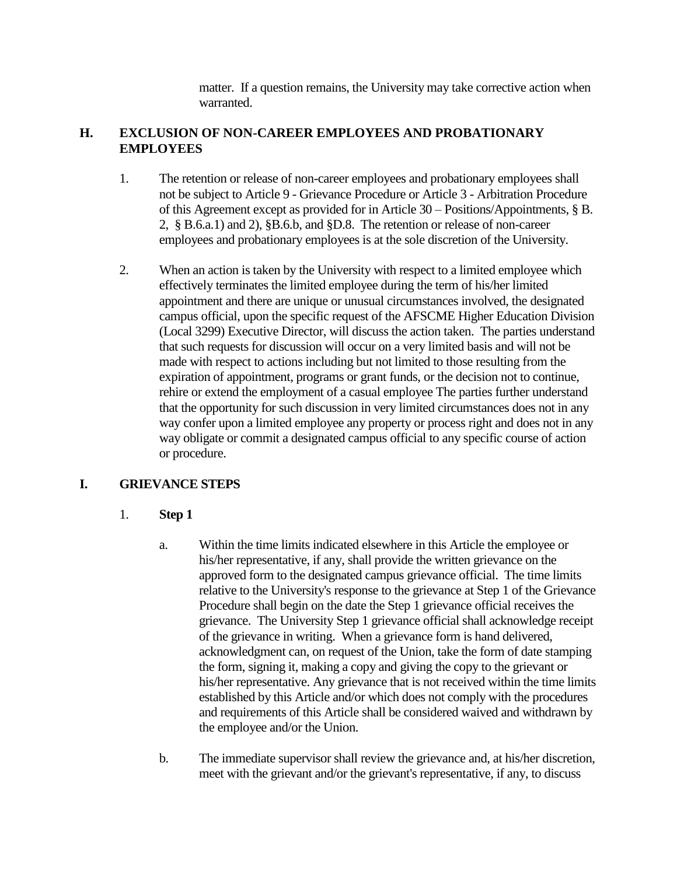matter. If a question remains, the University may take corrective action when warranted.

## **H. EXCLUSION OF NON-CAREER EMPLOYEES AND PROBATIONARY EMPLOYEES**

- 1. The retention or release of non-career employees and probationary employees shall not be subject to Article 9 - Grievance Procedure or Article 3 - Arbitration Procedure of this Agreement except as provided for in Article 30 – Positions/Appointments, § B. 2, § B.6.a.1) and 2), §B.6.b, and §D.8. The retention or release of non-career employees and probationary employees is at the sole discretion of the University.
- 2. When an action is taken by the University with respect to a limited employee which effectively terminates the limited employee during the term of his/her limited appointment and there are unique or unusual circumstances involved, the designated campus official, upon the specific request of the AFSCME Higher Education Division (Local 3299) Executive Director, will discuss the action taken. The parties understand that such requests for discussion will occur on a very limited basis and will not be made with respect to actions including but not limited to those resulting from the expiration of appointment, programs or grant funds, or the decision not to continue, rehire or extend the employment of a casual employee The parties further understand that the opportunity for such discussion in very limited circumstances does not in any way confer upon a limited employee any property or process right and does not in any way obligate or commit a designated campus official to any specific course of action or procedure.

### **I. GRIEVANCE STEPS**

### 1. **Step 1**

- a. Within the time limits indicated elsewhere in this Article the employee or his/her representative, if any, shall provide the written grievance on the approved form to the designated campus grievance official. The time limits relative to the University's response to the grievance at Step 1 of the Grievance Procedure shall begin on the date the Step 1 grievance official receives the grievance. The University Step 1 grievance official shall acknowledge receipt of the grievance in writing. When a grievance form is hand delivered, acknowledgment can, on request of the Union, take the form of date stamping the form, signing it, making a copy and giving the copy to the grievant or his/her representative. Any grievance that is not received within the time limits established by this Article and/or which does not comply with the procedures and requirements of this Article shall be considered waived and withdrawn by the employee and/or the Union.
- b. The immediate supervisor shall review the grievance and, at his/her discretion, meet with the grievant and/or the grievant's representative, if any, to discuss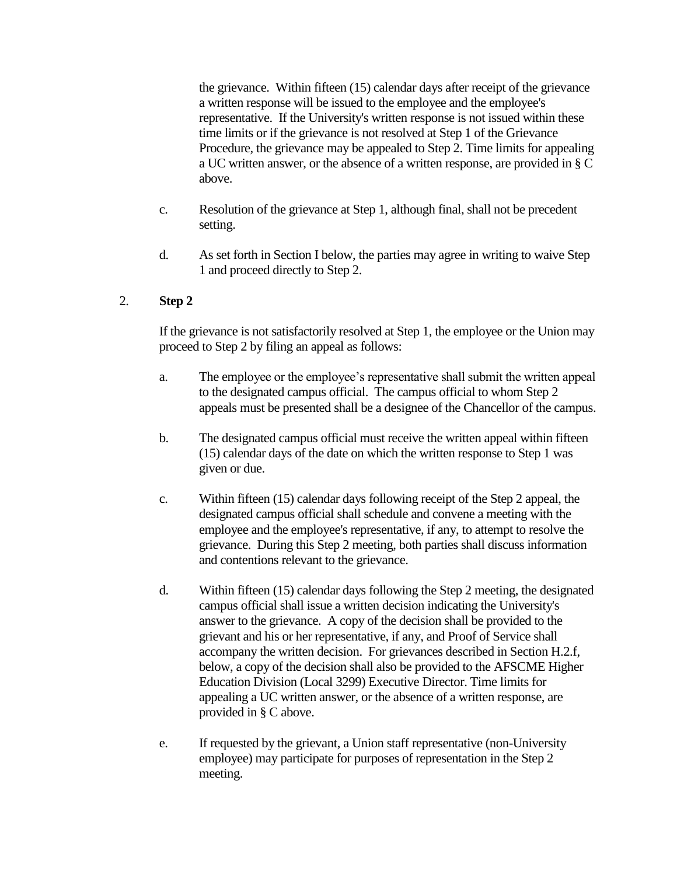the grievance. Within fifteen (15) calendar days after receipt of the grievance a written response will be issued to the employee and the employee's representative. If the University's written response is not issued within these time limits or if the grievance is not resolved at Step 1 of the Grievance Procedure, the grievance may be appealed to Step 2. Time limits for appealing a UC written answer, or the absence of a written response, are provided in § C above.

- c. Resolution of the grievance at Step 1, although final, shall not be precedent setting.
- d. As set forth in Section I below, the parties may agree in writing to waive Step 1 and proceed directly to Step 2.

### 2. **Step 2**

If the grievance is not satisfactorily resolved at Step 1, the employee or the Union may proceed to Step 2 by filing an appeal as follows:

- a. The employee or the employee's representative shall submit the written appeal to the designated campus official. The campus official to whom Step 2 appeals must be presented shall be a designee of the Chancellor of the campus.
- b. The designated campus official must receive the written appeal within fifteen (15) calendar days of the date on which the written response to Step 1 was given or due.
- c. Within fifteen (15) calendar days following receipt of the Step 2 appeal, the designated campus official shall schedule and convene a meeting with the employee and the employee's representative, if any, to attempt to resolve the grievance. During this Step 2 meeting, both parties shall discuss information and contentions relevant to the grievance.
- d. Within fifteen (15) calendar days following the Step 2 meeting, the designated campus official shall issue a written decision indicating the University's answer to the grievance. A copy of the decision shall be provided to the grievant and his or her representative, if any, and Proof of Service shall accompany the written decision. For grievances described in Section H.2.f, below, a copy of the decision shall also be provided to the AFSCME Higher Education Division (Local 3299) Executive Director. Time limits for appealing a UC written answer, or the absence of a written response, are provided in § C above.
- e. If requested by the grievant, a Union staff representative (non-University employee) may participate for purposes of representation in the Step 2 meeting.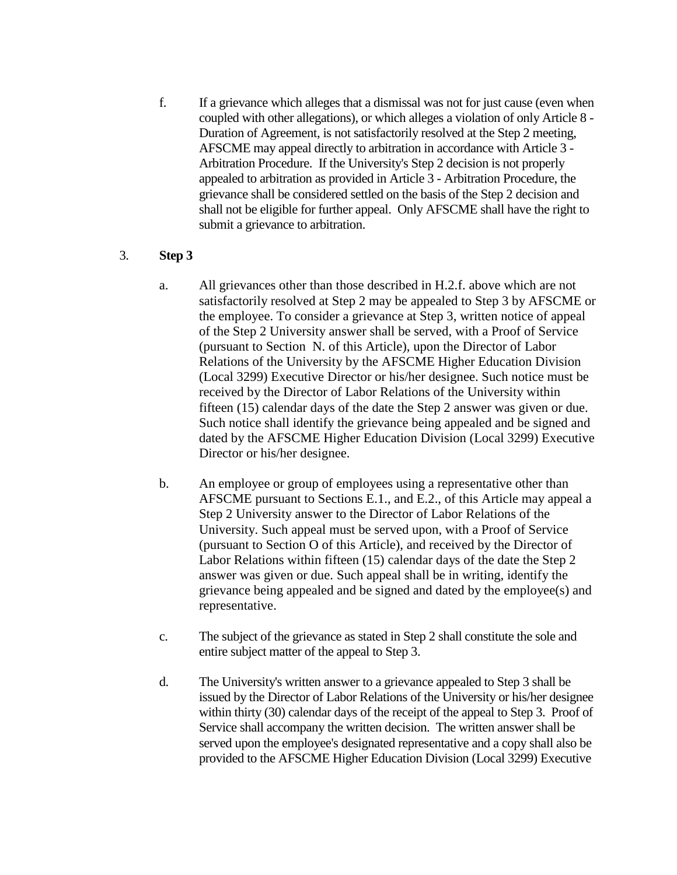f. If a grievance which alleges that a dismissal was not for just cause (even when coupled with other allegations), or which alleges a violation of only Article 8 - Duration of Agreement, is not satisfactorily resolved at the Step 2 meeting, AFSCME may appeal directly to arbitration in accordance with Article 3 - Arbitration Procedure. If the University's Step 2 decision is not properly appealed to arbitration as provided in Article 3 - Arbitration Procedure, the grievance shall be considered settled on the basis of the Step 2 decision and shall not be eligible for further appeal. Only AFSCME shall have the right to submit a grievance to arbitration.

### 3. **Step 3**

- a. All grievances other than those described in H.2.f. above which are not satisfactorily resolved at Step 2 may be appealed to Step 3 by AFSCME or the employee. To consider a grievance at Step 3, written notice of appeal of the Step 2 University answer shall be served, with a Proof of Service (pursuant to Section N. of this Article), upon the Director of Labor Relations of the University by the AFSCME Higher Education Division (Local 3299) Executive Director or his/her designee. Such notice must be received by the Director of Labor Relations of the University within fifteen (15) calendar days of the date the Step 2 answer was given or due. Such notice shall identify the grievance being appealed and be signed and dated by the AFSCME Higher Education Division (Local 3299) Executive Director or his/her designee.
- b. An employee or group of employees using a representative other than AFSCME pursuant to Sections E.1., and E.2., of this Article may appeal a Step 2 University answer to the Director of Labor Relations of the University. Such appeal must be served upon, with a Proof of Service (pursuant to Section O of this Article), and received by the Director of Labor Relations within fifteen (15) calendar days of the date the Step 2 answer was given or due. Such appeal shall be in writing, identify the grievance being appealed and be signed and dated by the employee(s) and representative.
- c. The subject of the grievance as stated in Step 2 shall constitute the sole and entire subject matter of the appeal to Step 3.
- d. The University's written answer to a grievance appealed to Step 3 shall be issued by the Director of Labor Relations of the University or his/her designee within thirty (30) calendar days of the receipt of the appeal to Step 3. Proof of Service shall accompany the written decision. The written answer shall be served upon the employee's designated representative and a copy shall also be provided to the AFSCME Higher Education Division (Local 3299) Executive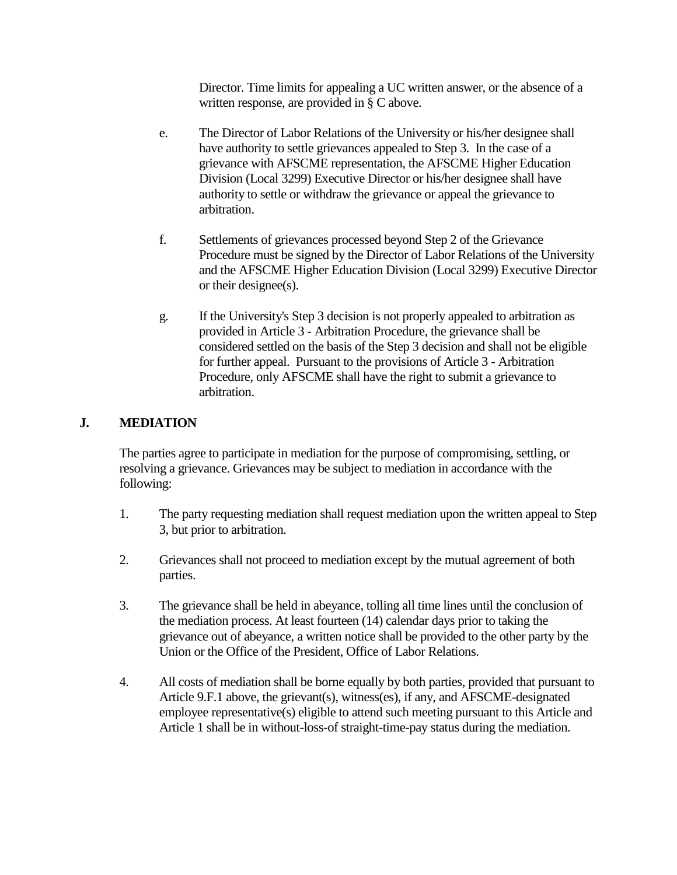Director. Time limits for appealing a UC written answer, or the absence of a written response, are provided in § C above.

- e. The Director of Labor Relations of the University or his/her designee shall have authority to settle grievances appealed to Step 3. In the case of a grievance with AFSCME representation, the AFSCME Higher Education Division (Local 3299) Executive Director or his/her designee shall have authority to settle or withdraw the grievance or appeal the grievance to arbitration.
- f. Settlements of grievances processed beyond Step 2 of the Grievance Procedure must be signed by the Director of Labor Relations of the University and the AFSCME Higher Education Division (Local 3299) Executive Director or their designee(s).
- g. If the University's Step 3 decision is not properly appealed to arbitration as provided in Article 3 - Arbitration Procedure, the grievance shall be considered settled on the basis of the Step 3 decision and shall not be eligible for further appeal. Pursuant to the provisions of Article 3 - Arbitration Procedure, only AFSCME shall have the right to submit a grievance to arbitration.

#### **J. MEDIATION**

The parties agree to participate in mediation for the purpose of compromising, settling, or resolving a grievance. Grievances may be subject to mediation in accordance with the following:

- 1. The party requesting mediation shall request mediation upon the written appeal to Step 3, but prior to arbitration.
- 2. Grievances shall not proceed to mediation except by the mutual agreement of both parties.
- 3. The grievance shall be held in abeyance, tolling all time lines until the conclusion of the mediation process. At least fourteen (14) calendar days prior to taking the grievance out of abeyance, a written notice shall be provided to the other party by the Union or the Office of the President, Office of Labor Relations.
- 4. All costs of mediation shall be borne equally by both parties, provided that pursuant to Article 9.F.1 above, the grievant(s), witness(es), if any, and AFSCME-designated employee representative(s) eligible to attend such meeting pursuant to this Article and Article 1 shall be in without-loss-of straight-time-pay status during the mediation.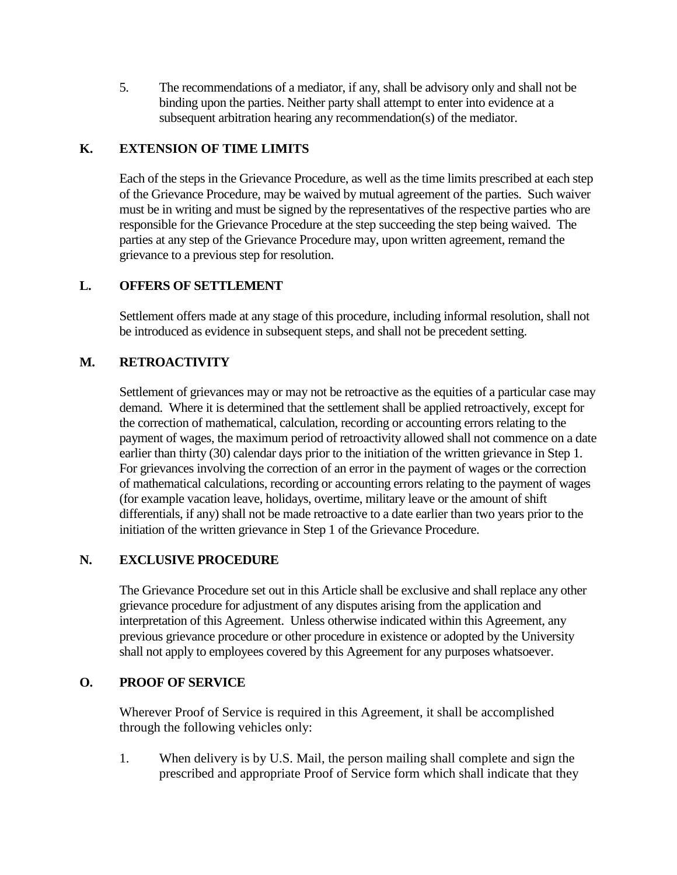5. The recommendations of a mediator, if any, shall be advisory only and shall not be binding upon the parties. Neither party shall attempt to enter into evidence at a subsequent arbitration hearing any recommendation(s) of the mediator.

## **K. EXTENSION OF TIME LIMITS**

Each of the steps in the Grievance Procedure, as well as the time limits prescribed at each step of the Grievance Procedure, may be waived by mutual agreement of the parties. Such waiver must be in writing and must be signed by the representatives of the respective parties who are responsible for the Grievance Procedure at the step succeeding the step being waived. The parties at any step of the Grievance Procedure may, upon written agreement, remand the grievance to a previous step for resolution.

# **L. OFFERS OF SETTLEMENT**

Settlement offers made at any stage of this procedure, including informal resolution, shall not be introduced as evidence in subsequent steps, and shall not be precedent setting.

# **M. RETROACTIVITY**

Settlement of grievances may or may not be retroactive as the equities of a particular case may demand. Where it is determined that the settlement shall be applied retroactively, except for the correction of mathematical, calculation, recording or accounting errors relating to the payment of wages, the maximum period of retroactivity allowed shall not commence on a date earlier than thirty (30) calendar days prior to the initiation of the written grievance in Step 1. For grievances involving the correction of an error in the payment of wages or the correction of mathematical calculations, recording or accounting errors relating to the payment of wages (for example vacation leave, holidays, overtime, military leave or the amount of shift differentials, if any) shall not be made retroactive to a date earlier than two years prior to the initiation of the written grievance in Step 1 of the Grievance Procedure.

## **N. EXCLUSIVE PROCEDURE**

The Grievance Procedure set out in this Article shall be exclusive and shall replace any other grievance procedure for adjustment of any disputes arising from the application and interpretation of this Agreement. Unless otherwise indicated within this Agreement, any previous grievance procedure or other procedure in existence or adopted by the University shall not apply to employees covered by this Agreement for any purposes whatsoever.

### **O. PROOF OF SERVICE**

Wherever Proof of Service is required in this Agreement, it shall be accomplished through the following vehicles only:

1. When delivery is by U.S. Mail, the person mailing shall complete and sign the prescribed and appropriate Proof of Service form which shall indicate that they